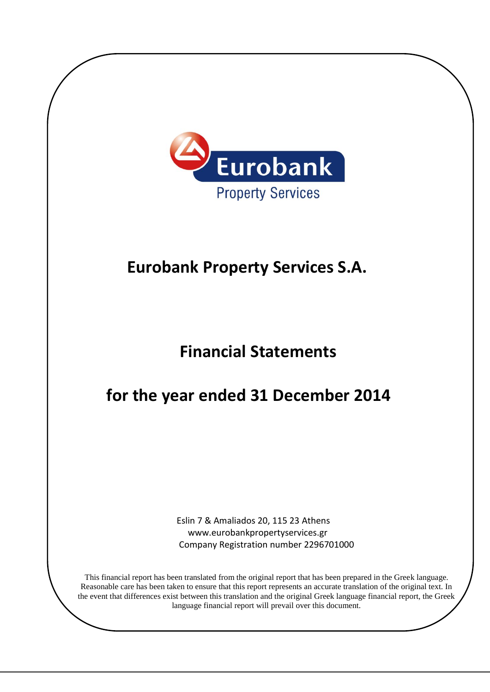

# **Eurobank Property Services S.A.**

# **Financial Statements**

# **for the year ended 31 December 2014**

Eslin 7 & Amaliados 20, 115 23 Athens www.eurobankpropertyservices.gr Company Registration number 2296701000

This financial report has been translated from the original report that has been prepared in the Greek language. Reasonable care has been taken to ensure that this report represents an accurate translation of the original text. In the event that differences exist between this translation and the original Greek language financial report, the Greek language financial report will prevail over this document.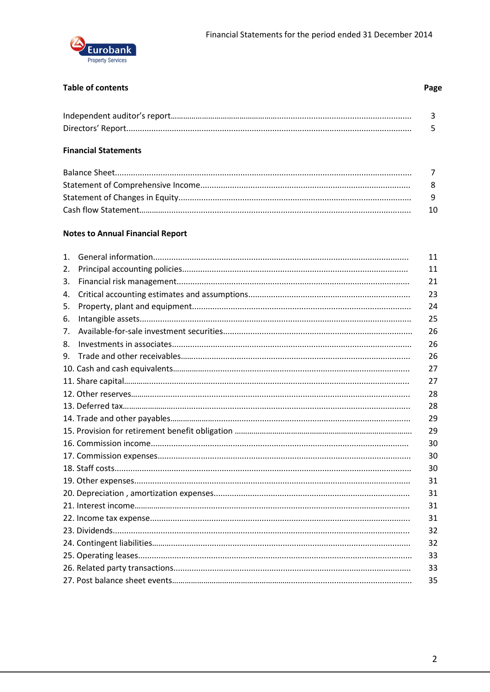

# **Table of contents**

#### $\mathsf 3$ 5

# **Financial Statements**

| - 10 |
|------|

# **Notes to Annual Financial Report**

| 1. | 11 |
|----|----|
| 2. | 11 |
| 3. | 21 |
| 4. | 23 |
| 5. | 24 |
| 6. | 25 |
| 7. | 26 |
| 8. | 26 |
| 9. | 26 |
|    | 27 |
|    | 27 |
|    | 28 |
|    | 28 |
|    | 29 |
|    | 29 |
|    | 30 |
|    | 30 |
|    | 30 |
|    | 31 |
|    | 31 |
|    | 31 |
|    | 31 |
|    | 32 |
|    | 32 |
|    | 33 |
|    | 33 |
|    | 35 |

Page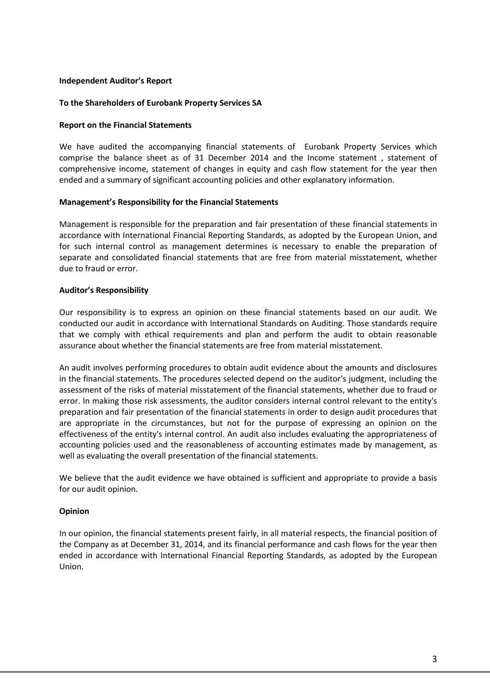#### **Independent Auditor's Report**

#### **To the Shareholders of Eurobank Property Services SA**

#### **Report on the Financial Statements**

We have audited the accompanying financial statements of Eurobank Property Services which comprise the balance sheet as of 31 December 2014 and the Income statement , statement of comprehensive income, statement of changes in equity and cash flow statement for the year then ended and a summary of significant accounting policies and other explanatory information.

#### **Management's Responsibility for the Financial Statements**

Management is responsible for the preparation and fair presentation of these financial statements in accordance with International Financial Reporting Standards, as adopted by the European Union, and for such internal control as management determines is necessary to enable the preparation of separate and consolidated financial statements that are free from material misstatement, whether due to fraud or error.

#### **Auditor's Responsibility**

Our responsibility is to express an opinion on these financial statements based on our audit. We conducted our audit in accordance with International Standards on Auditing. Those standards require that we comply with ethical requirements and plan and perform the audit to obtain reasonable assurance about whether the financial statements are free from material misstatement.

An audit involves performing procedures to obtain audit evidence about the amounts and disclosures in the financial statements. The procedures selected depend on the auditor's judgment, including the assessment of the risks of material misstatement of the financial statements, whether due to fraud or error. In making those risk assessments, the auditor considers internal control relevant to the entity's preparation and fair presentation of the financial statements in order to design audit procedures that are appropriate in the circumstances, but not for the purpose of expressing an opinion on the effectiveness of the entity's internal control. An audit also includes evaluating the appropriateness of accounting policies used and the reasonableness of accounting estimates made by management, as well as evaluating the overall presentation of the financial statements.

We believe that the audit evidence we have obtained is sufficient and appropriate to provide a basis for our audit opinion.

#### **Opinion**

In our opinion, the financial statements present fairly, in all material respects, the financial position of the Company as at December 31, 2014, and its financial performance and cash flows for the year then ended in accordance with International Financial Reporting Standards, as adopted by the European Union.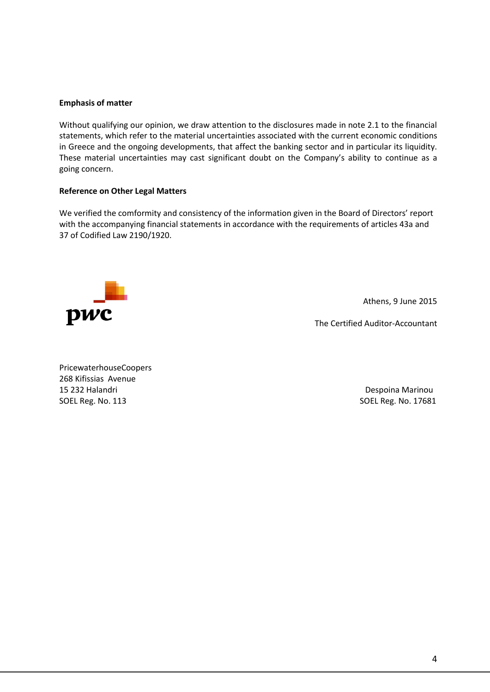#### **Emphasis of matter**

Without qualifying our opinion, we draw attention to the disclosures made in note 2.1 to the financial statements, which refer to the material uncertainties associated with the current economic conditions in Greece and the ongoing developments, that affect the banking sector and in particular its liquidity. These material uncertainties may cast significant doubt on the Company's ability to continue as a going concern.

#### **Reference on Other Legal Matters**

We verified the comformity and consistency of the information given in the Board of Directors' report with the accompanying financial statements in accordance with the requirements of articles 43a and 37 of Codified Law 2190/1920.



Athens, 9 June 2015

The Certified Auditor-Accountant

PricewaterhouseCoopers 268 Kifissias Avenue 15 232 Halandri Despoina Marinou (1992)<br>15 232 Halandri Despoina Marinou (1993)<br>17681 SOEL Reg. No. 17681

SOEL Reg. No. 17681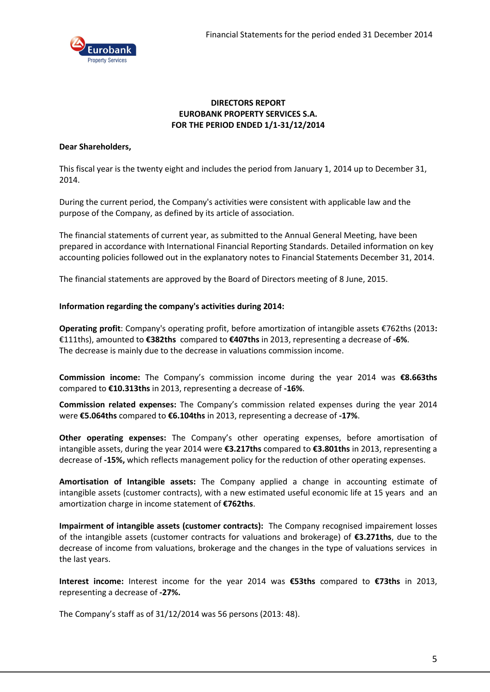

# **DIRECTORS REPORT EUROBANK PROPERTY SERVICES S.A. FOR THE PERIOD ENDED 1/1-31/12/2014**

# **Dear Shareholders,**

This fiscal year is the twenty eight and includes the period from January 1, 2014 up to December 31, 2014.

During the current period, the Company's activities were consistent with applicable law and the purpose of the Company, as defined by its article of association.

The financial statements of current year, as submitted to the Annual General Meeting, have been prepared in accordance with International Financial Reporting Standards. Detailed information on key accounting policies followed out in the explanatory notes to Financial Statements December 31, 2014.

The financial statements are approved by the Board of Directors meeting of 8 June, 2015.

# **Information regarding the company's activities during 2014:**

**Operating profit**: Company's operating profit, before amortization of intangible assets €762ths (2013**:**  €111ths), amounted to **€382ths** compared to **€407ths** in 2013, representing a decrease of **-6%**. The decrease is mainly due to the decrease in valuations commission income.

**Commission income:** The Company's commission income during the year 2014 was **€8.663ths** compared to **€10.313ths** in 2013, representing a decrease of **-16%**.

**Commission related expenses:** The Company's commission related expenses during the year 2014 were **€5.064ths** compared to **€6.104ths** in 2013, representing a decrease of **-17%**.

**Other operating expenses:** The Company's other operating expenses, before amortisation of intangible assets, during the year 2014 were **€3.217ths** compared to **€3.801ths** in 2013, representing a decrease of **-15%,** which reflects management policy for the reduction of other operating expenses.

**Amortisation of Intangible assets:** The Company applied a change in accounting estimate of intangible assets (customer contracts), with a new estimated useful economic life at 15 years and an amortization charge in income statement of **€762ths**.

**Impairment of intangible assets (customer contracts):** The Company recognised impairement losses of the intangible assets (customer contracts for valuations and brokerage) of **€3.271ths**, due to the decrease of income from valuations, brokerage and the changes in the type of valuations services in the last years.

**Interest income:** Interest income for the year 2014 was **€53ths** compared to **€73ths** in 2013, representing a decrease of **-27%.**

The Company's staff as of 31/12/2014 was 56 persons (2013: 48).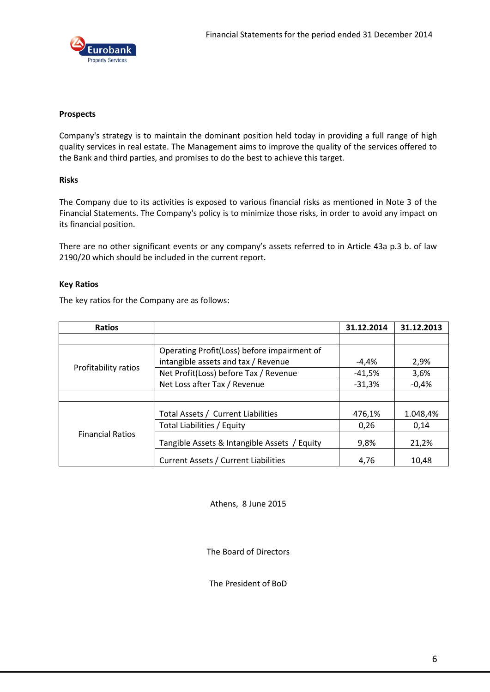

# **Prospects**

Company's strategy is to maintain the dominant position held today in providing a full range of high quality services in real estate. The Management aims to improve the quality of the services offered to the Bank and third parties, and promises to do the best to achieve this target.

# **Risks**

The Company due to its activities is exposed to various financial risks as mentioned in Note 3 of the Financial Statements. The Company's policy is to minimize those risks, in order to avoid any impact on its financial position.

There are no other significant events or any company's assets referred to in Article 43a p.3 b. of law 2190/20 which should be included in the current report.

# **Key Ratios**

The key ratios for the Company are as follows:

| <b>Ratios</b>           |                                              | 31.12.2014 | 31.12.2013 |
|-------------------------|----------------------------------------------|------------|------------|
|                         |                                              |            |            |
|                         | Operating Profit(Loss) before impairment of  |            |            |
|                         | intangible assets and tax / Revenue          | -4,4%      | 2,9%       |
| Profitability ratios    | Net Profit(Loss) before Tax / Revenue        | $-41,5%$   | 3,6%       |
|                         | Net Loss after Tax / Revenue                 | $-31,3%$   | $-0,4%$    |
|                         |                                              |            |            |
|                         | Total Assets / Current Liabilities           | 476,1%     | 1.048,4%   |
|                         | Total Liabilities / Equity                   | 0,26       | 0,14       |
| <b>Financial Ratios</b> | Tangible Assets & Intangible Assets / Equity | 9,8%       | 21,2%      |
|                         | Current Assets / Current Liabilities         | 4,76       | 10,48      |

Athens, 8 June 2015

The Board of Directors

The President of BoD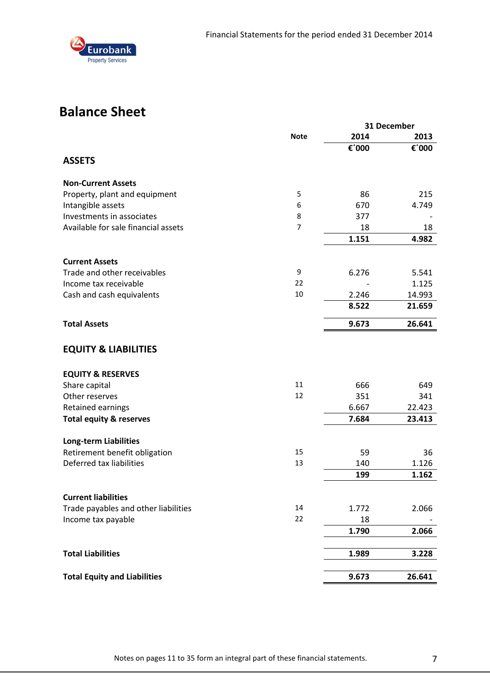

# **Balance Sheet**

|                                      |                |       | 31 December |  |
|--------------------------------------|----------------|-------|-------------|--|
|                                      | <b>Note</b>    | 2014  | 2013        |  |
|                                      |                | €'000 | €1000       |  |
| <b>ASSETS</b>                        |                |       |             |  |
| <b>Non-Current Assets</b>            |                |       |             |  |
| Property, plant and equipment        | 5              | 86    | 215         |  |
| Intangible assets                    | 6              | 670   | 4.749       |  |
| Investments in associates            | 8              | 377   |             |  |
| Available for sale financial assets  | $\overline{7}$ | 18    | 18          |  |
|                                      |                | 1.151 | 4.982       |  |
| <b>Current Assets</b>                |                |       |             |  |
| Trade and other receivables          | 9              | 6.276 | 5.541       |  |
| Income tax receivable                | 22             |       | 1.125       |  |
| Cash and cash equivalents            | 10             | 2.246 | 14.993      |  |
|                                      |                | 8.522 | 21.659      |  |
| <b>Total Assets</b>                  |                | 9.673 | 26.641      |  |
| <b>EQUITY &amp; LIABILITIES</b>      |                |       |             |  |
| <b>EQUITY &amp; RESERVES</b>         |                |       |             |  |
| Share capital                        | 11             | 666   | 649         |  |
| Other reserves                       | 12             | 351   | 341         |  |
| Retained earnings                    |                | 6.667 | 22.423      |  |
| <b>Total equity &amp; reserves</b>   |                | 7.684 | 23.413      |  |
| <b>Long-term Liabilities</b>         |                |       |             |  |
| Retirement benefit obligation        | 15             | 59    | 36          |  |
| Deferred tax liabilities             | 13             | 140   | 1.126       |  |
|                                      |                | 199   | 1.162       |  |
| <b>Current liabilities</b>           |                |       |             |  |
| Trade payables and other liabilities | 14             | 1.772 | 2.066       |  |
| Income tax payable                   | 22             | 18    |             |  |
|                                      |                | 1.790 | 2.066       |  |
| <b>Total Liabilities</b>             |                | 1.989 | 3.228       |  |
|                                      |                |       |             |  |
| <b>Total Equity and Liabilities</b>  |                | 9.673 | 26.641      |  |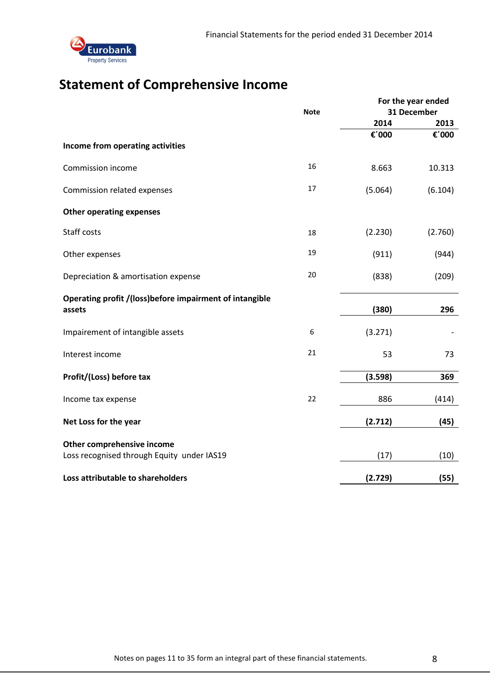

# **Statement of Comprehensive Income**

|                                                                          |             |         | For the year ended |  |  |
|--------------------------------------------------------------------------|-------------|---------|--------------------|--|--|
|                                                                          | <b>Note</b> |         | 31 December        |  |  |
|                                                                          |             | 2014    | 2013               |  |  |
| Income from operating activities                                         |             | €'000   | €1000              |  |  |
| Commission income                                                        | 16          | 8.663   | 10.313             |  |  |
| Commission related expenses                                              | 17          | (5.064) | (6.104)            |  |  |
| <b>Other operating expenses</b>                                          |             |         |                    |  |  |
| Staff costs                                                              | 18          | (2.230) | (2.760)            |  |  |
| Other expenses                                                           | 19          | (911)   | (944)              |  |  |
| Depreciation & amortisation expense                                      | 20          | (838)   | (209)              |  |  |
| Operating profit /(loss)before impairment of intangible<br>assets        |             | (380)   | 296                |  |  |
| Impairement of intangible assets                                         | 6           | (3.271) |                    |  |  |
| Interest income                                                          | 21          | 53      | 73                 |  |  |
| Profit/(Loss) before tax                                                 |             | (3.598) | 369                |  |  |
| Income tax expense                                                       | 22          | 886     | (414)              |  |  |
| Net Loss for the year                                                    |             | (2.712) | (45)               |  |  |
| Other comprehensive income<br>Loss recognised through Equity under IAS19 |             | (17)    | (10)               |  |  |
| Loss attributable to shareholders                                        |             | (2.729) | (55)               |  |  |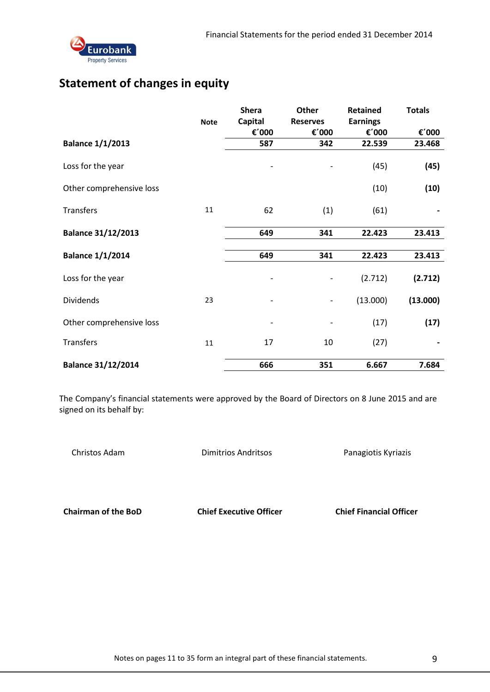

# **Statement of changes in equity**

|                           | <b>Note</b> | <b>Shera</b><br><b>Capital</b> | Other<br><b>Reserves</b> | <b>Retained</b><br><b>Earnings</b> | <b>Totals</b> |
|---------------------------|-------------|--------------------------------|--------------------------|------------------------------------|---------------|
|                           |             | €'000                          | €'000                    | €1000                              | €'000         |
| <b>Balance 1/1/2013</b>   |             | 587                            | 342                      | 22.539                             | 23.468        |
| Loss for the year         |             |                                |                          | (45)                               | (45)          |
| Other comprehensive loss  |             |                                |                          | (10)                               | (10)          |
| <b>Transfers</b>          | 11          | 62                             | (1)                      | (61)                               |               |
| <b>Balance 31/12/2013</b> |             | 649                            | 341                      | 22.423                             | 23.413        |
| <b>Balance 1/1/2014</b>   |             | 649                            | 341                      | 22.423                             | 23.413        |
| Loss for the year         |             |                                |                          | (2.712)                            | (2.712)       |
| <b>Dividends</b>          | 23          |                                |                          | (13.000)                           | (13.000)      |
| Other comprehensive loss  |             |                                |                          | (17)                               | (17)          |
| <b>Transfers</b>          | 11          | 17                             | 10                       | (27)                               |               |
| <b>Balance 31/12/2014</b> |             | 666                            | 351                      | 6.667                              | 7.684         |

The Company's financial statements were approved by the Board of Directors on 8 June 2015 and are signed on its behalf by:

Christos Adam Dimitrios Andritsos Panagiotis Kyriazis

**Chairman of the BoD Chief Executive Officer Chief Financial Officer**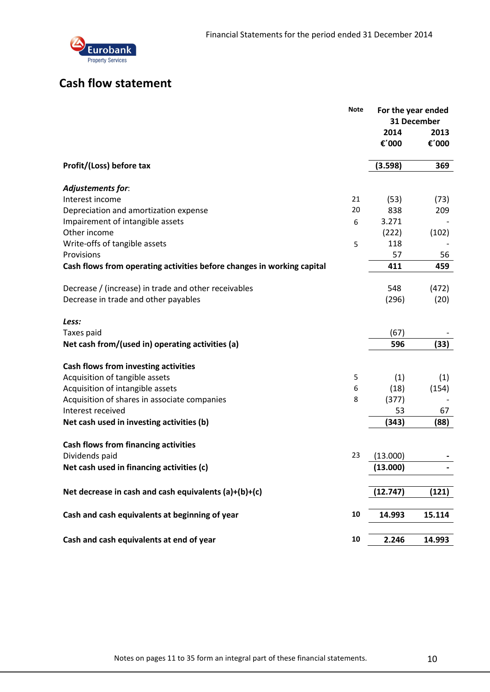

# **Cash flow statement**

|                                                                        | <b>Note</b><br>For the year ended<br>31 December |               |               |
|------------------------------------------------------------------------|--------------------------------------------------|---------------|---------------|
|                                                                        |                                                  | 2014<br>€'000 | 2013<br>€'000 |
|                                                                        |                                                  |               |               |
| Profit/(Loss) before tax                                               |                                                  | (3.598)       | 369           |
| Adjustements for:                                                      |                                                  |               |               |
| Interest income                                                        | 21                                               | (53)          | (73)          |
| Depreciation and amortization expense                                  | 20                                               | 838           | 209           |
| Impairement of intangible assets                                       | 6                                                | 3.271         |               |
| Other income                                                           |                                                  | (222)         | (102)         |
| Write-offs of tangible assets                                          | 5                                                | 118           |               |
| Provisions                                                             |                                                  | 57            | 56            |
| Cash flows from operating activities before changes in working capital |                                                  | 411           | 459           |
|                                                                        |                                                  |               |               |
| Decrease / (increase) in trade and other receivables                   |                                                  | 548           | (472)         |
| Decrease in trade and other payables                                   |                                                  | (296)         | (20)          |
| Less:                                                                  |                                                  |               |               |
| Taxes paid                                                             |                                                  | (67)          |               |
| Net cash from/(used in) operating activities (a)                       |                                                  | 596           | (33)          |
| Cash flows from investing activities                                   |                                                  |               |               |
| Acquisition of tangible assets                                         | 5                                                | (1)           | (1)           |
| Acquisition of intangible assets                                       | 6                                                | (18)          | (154)         |
| Acquisition of shares in associate companies                           | 8                                                | (377)         |               |
| Interest received                                                      |                                                  | 53            | 67            |
| Net cash used in investing activities (b)                              |                                                  | (343)         | (88)          |
|                                                                        |                                                  |               |               |
| <b>Cash flows from financing activities</b>                            |                                                  |               |               |
| Dividends paid                                                         | 23                                               | (13.000)      |               |
| Net cash used in financing activities (c)                              |                                                  | (13.000)      |               |
| Net decrease in cash and cash equivalents (a)+(b)+(c)                  |                                                  | (12.747)      | (121)         |
| Cash and cash equivalents at beginning of year                         | 10                                               | 14.993        | 15.114        |
|                                                                        |                                                  |               |               |
| Cash and cash equivalents at end of year                               | 10                                               | 2.246         | 14.993        |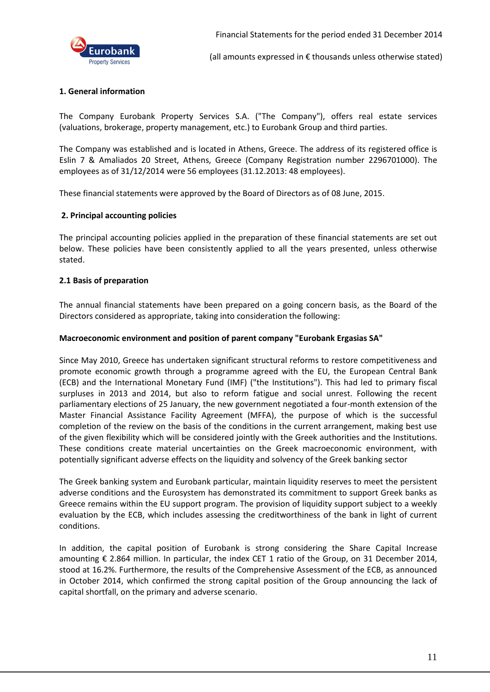

# **1. General information**

The Company Eurobank Property Services S.A. ("The Company"), offers real estate services (valuations, brokerage, property management, etc.) to Eurobank Group and third parties.

The Company was established and is located in Athens, Greece. The address of its registered office is Eslin 7 & Amaliados 20 Street, Athens, Greece (Company Registration number 2296701000). The employees as of 31/12/2014 were 56 employees (31.12.2013: 48 employees).

These financial statements were approved by the Board of Directors as of 08 June, 2015.

# **2. Principal accounting policies**

The principal accounting policies applied in the preparation of these financial statements are set out below. These policies have been consistently applied to all the years presented, unless otherwise stated.

# **2.1 Basis of preparation**

The annual financial statements have been prepared on a going concern basis, as the Board of the Directors considered as appropriate, taking into consideration the following:

# **Macroeconomic environment and position of parent company "Eurobank Ergasias SA"**

Since May 2010, Greece has undertaken significant structural reforms to restore competitiveness and promote economic growth through a programme agreed with the EU, the European Central Bank (ECB) and the International Monetary Fund (IMF) ("the Institutions"). This had led to primary fiscal surpluses in 2013 and 2014, but also to reform fatigue and social unrest. Following the recent parliamentary elections of 25 January, the new government negotiated a four-month extension of the Master Financial Assistance Facility Agreement (MFFA), the purpose of which is the successful completion of the review on the basis of the conditions in the current arrangement, making best use of the given flexibility which will be considered jointly with the Greek authorities and the Institutions. These conditions create material uncertainties on the Greek macroeconomic environment, with potentially significant adverse effects on the liquidity and solvency of the Greek banking sector

The Greek banking system and Eurobank particular, maintain liquidity reserves to meet the persistent adverse conditions and the Eurosystem has demonstrated its commitment to support Greek banks as Greece remains within the EU support program. The provision of liquidity support subject to a weekly evaluation by the ECB, which includes assessing the creditworthiness of the bank in light of current conditions.

In addition, the capital position of Eurobank is strong considering the Share Capital Increase amounting € 2.864 million. In particular, the index CET 1 ratio of the Group, on 31 December 2014, stood at 16.2%. Furthermore, the results of the Comprehensive Assessment of the ECB, as announced in October 2014, which confirmed the strong capital position of the Group announcing the lack of capital shortfall, on the primary and adverse scenario.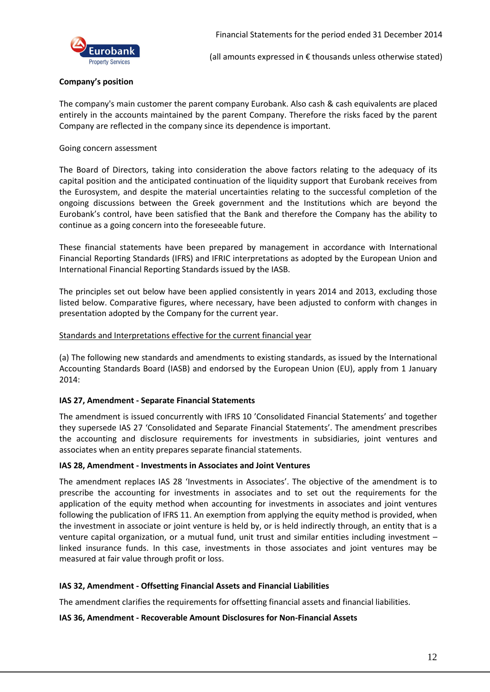

# **Company's position**

The company's main customer the parent company Eurobank. Also cash & cash equivalents are placed entirely in the accounts maintained by the parent Company. Therefore the risks faced by the parent Company are reflected in the company since its dependence is important.

# Going concern assessment

The Board of Directors, taking into consideration the above factors relating to the adequacy of its capital position and the anticipated continuation of the liquidity support that Eurobank receives from the Eurosystem, and despite the material uncertainties relating to the successful completion of the ongoing discussions between the Greek government and the Institutions which are beyond the Eurobank's control, have been satisfied that the Bank and therefore the Company has the ability to continue as a going concern into the foreseeable future.

These financial statements have been prepared by management in accordance with International Financial Reporting Standards (IFRS) and IFRIC interpretations as adopted by the European Union and International Financial Reporting Standards issued by the IASB.

The principles set out below have been applied consistently in years 2014 and 2013, excluding those listed below. Comparative figures, where necessary, have been adjusted to conform with changes in presentation adopted by the Company for the current year.

# Standards and Interpretations effective for the current financial year

(a) The following new standards and amendments to existing standards, as issued by the International Accounting Standards Board (IASB) and endorsed by the European Union (EU), apply from 1 January 2014:

# **IAS 27, Amendment - Separate Financial Statements**

The amendment is issued concurrently with IFRS 10 'Consolidated Financial Statements' and together they supersede IAS 27 'Consolidated and Separate Financial Statements'. The amendment prescribes the accounting and disclosure requirements for investments in subsidiaries, joint ventures and associates when an entity prepares separate financial statements.

#### **IAS 28, Amendment - Investments in Associates and Joint Ventures**

The amendment replaces IAS 28 'Investments in Associates'. The objective of the amendment is to prescribe the accounting for investments in associates and to set out the requirements for the application of the equity method when accounting for investments in associates and joint ventures following the publication of IFRS 11. An exemption from applying the equity method is provided, when the investment in associate or joint venture is held by, or is held indirectly through, an entity that is a venture capital organization, or a mutual fund, unit trust and similar entities including investment – linked insurance funds. In this case, investments in those associates and joint ventures may be measured at fair value through profit or loss.

#### **IAS 32, Amendment - Offsetting Financial Assets and Financial Liabilities**

The amendment clarifies the requirements for offsetting financial assets and financial liabilities.

#### **IAS 36, Amendment - Recoverable Amount Disclosures for Non-Financial Assets**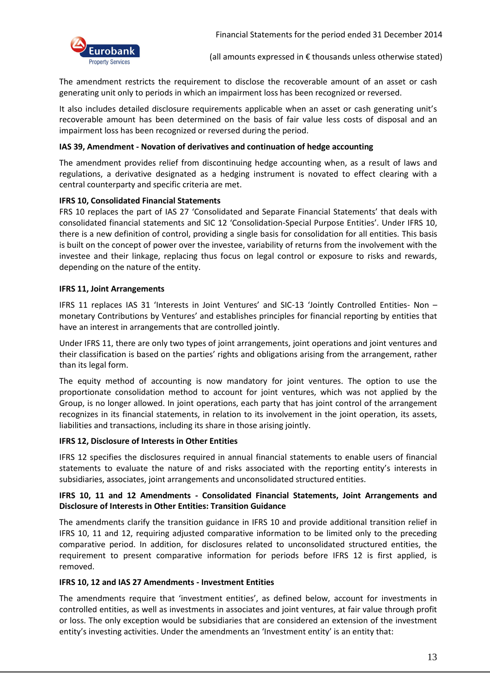

The amendment restricts the requirement to disclose the recoverable amount of an asset or cash generating unit only to periods in which an impairment loss has been recognized or reversed.

It also includes detailed disclosure requirements applicable when an asset or cash generating unit's recoverable amount has been determined on the basis of fair value less costs of disposal and an impairment loss has been recognized or reversed during the period.

# **IAS 39, Amendment - Novation of derivatives and continuation of hedge accounting**

The amendment provides relief from discontinuing hedge accounting when, as a result of laws and regulations, a derivative designated as a hedging instrument is novated to effect clearing with a central counterparty and specific criteria are met.

#### **IFRS 10, Consolidated Financial Statements**

FRS 10 replaces the part of IAS 27 'Consolidated and Separate Financial Statements' that deals with consolidated financial statements and SIC 12 'Consolidation-Special Purpose Entities'. Under IFRS 10, there is a new definition of control, providing a single basis for consolidation for all entities. This basis is built on the concept of power over the investee, variability of returns from the involvement with the investee and their linkage, replacing thus focus on legal control or exposure to risks and rewards, depending on the nature of the entity.

#### **IFRS 11, Joint Arrangements**

IFRS 11 replaces IAS 31 'Interests in Joint Ventures' and SIC-13 'Jointly Controlled Entities- Non – monetary Contributions by Ventures' and establishes principles for financial reporting by entities that have an interest in arrangements that are controlled jointly.

Under IFRS 11, there are only two types of joint arrangements, joint operations and joint ventures and their classification is based on the parties' rights and obligations arising from the arrangement, rather than its legal form.

The equity method of accounting is now mandatory for joint ventures. The option to use the proportionate consolidation method to account for joint ventures, which was not applied by the Group, is no longer allowed. In joint operations, each party that has joint control of the arrangement recognizes in its financial statements, in relation to its involvement in the joint operation, its assets, liabilities and transactions, including its share in those arising jointly.

#### **IFRS 12, Disclosure of Interests in Other Entities**

IFRS 12 specifies the disclosures required in annual financial statements to enable users of financial statements to evaluate the nature of and risks associated with the reporting entity's interests in subsidiaries, associates, joint arrangements and unconsolidated structured entities.

# **IFRS 10, 11 and 12 Amendments - Consolidated Financial Statements, Joint Arrangements and Disclosure of Interests in Other Entities: Transition Guidance**

The amendments clarify the transition guidance in IFRS 10 and provide additional transition relief in IFRS 10, 11 and 12, requiring adjusted comparative information to be limited only to the preceding comparative period. In addition, for disclosures related to unconsolidated structured entities, the requirement to present comparative information for periods before IFRS 12 is first applied, is removed.

#### **IFRS 10, 12 and IAS 27 Amendments - Investment Entities**

The amendments require that 'investment entities', as defined below, account for investments in controlled entities, as well as investments in associates and joint ventures, at fair value through profit or loss. The only exception would be subsidiaries that are considered an extension of the investment entity's investing activities. Under the amendments an 'Investment entity' is an entity that: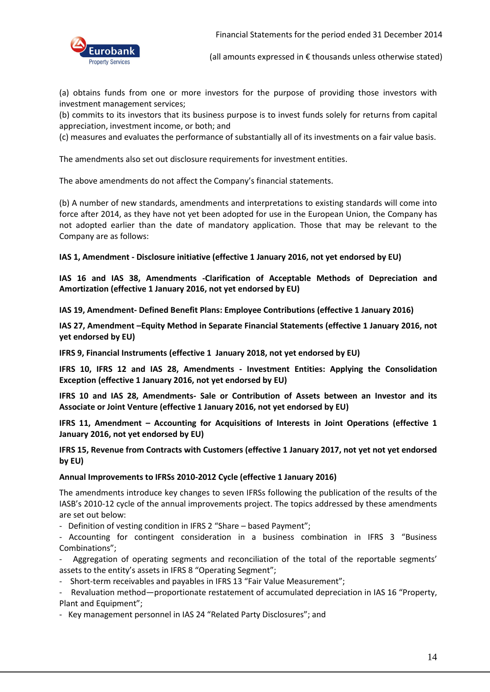

(a) obtains funds from one or more investors for the purpose of providing those investors with investment management services;

(b) commits to its investors that its business purpose is to invest funds solely for returns from capital appreciation, investment income, or both; and

(c) measures and evaluates the performance of substantially all of its investments on a fair value basis.

The amendments also set out disclosure requirements for investment entities.

The above amendments do not affect the Company's financial statements.

(b) A number of new standards, amendments and interpretations to existing standards will come into force after 2014, as they have not yet been adopted for use in the European Union, the Company has not adopted earlier than the date of mandatory application. Those that may be relevant to the Company are as follows:

**IAS 1, Amendment - Disclosure initiative (effective 1 January 2016, not yet endorsed by EU)**

**IAS 16 and IAS 38, Amendments -Clarification of Acceptable Methods of Depreciation and Amortization (effective 1 January 2016, not yet endorsed by EU)**

**IAS 19, Amendment- Defined Benefit Plans: Employee Contributions (effective 1 January 2016)**

**IAS 27, Amendment –Equity Method in Separate Financial Statements (effective 1 January 2016, not yet endorsed by EU)**

**IFRS 9, Financial Instruments (effective 1 January 2018, not yet endorsed by EU)**

**IFRS 10, IFRS 12 and IAS 28, Amendments - Investment Entities: Applying the Consolidation Exception (effective 1 January 2016, not yet endorsed by EU)**

**IFRS 10 and IAS 28, Amendments- Sale or Contribution of Assets between an Investor and its Associate or Joint Venture (effective 1 January 2016, not yet endorsed by EU)**

**IFRS 11, Amendment – Accounting for Acquisitions of Interests in Joint Operations (effective 1 January 2016, not yet endorsed by EU)**

**IFRS 15, Revenue from Contracts with Customers (effective 1 January 2017, not yet not yet endorsed by EU)**

#### **Annual Improvements to IFRSs 2010-2012 Cycle (effective 1 January 2016)**

The amendments introduce key changes to seven IFRSs following the publication of the results of the IASB's 2010-12 cycle of the annual improvements project. The topics addressed by these amendments are set out below:

- Definition of vesting condition in IFRS 2 "Share – based Payment";

- Accounting for contingent consideration in a business combination in IFRS 3 "Business Combinations";

Aggregation of operating segments and reconciliation of the total of the reportable segments' assets to the entity's assets in IFRS 8 "Operating Segment";

- Short-term receivables and payables in IFRS 13 "Fair Value Measurement";

- Revaluation method—proportionate restatement of accumulated depreciation in IAS 16 "Property, Plant and Equipment";

- Key management personnel in IAS 24 "Related Party Disclosures"; and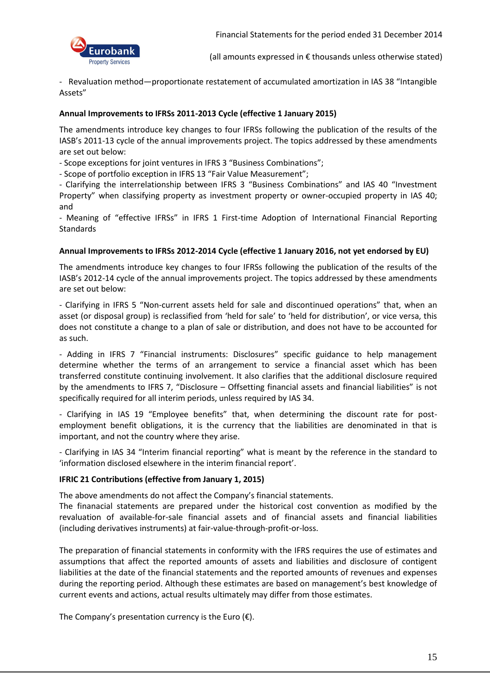

- Revaluation method—proportionate restatement of accumulated amortization in IAS 38 "Intangible Assets"

#### **Annual Improvements to IFRSs 2011-2013 Cycle (effective 1 January 2015)**

The amendments introduce key changes to four IFRSs following the publication of the results of the IASB's 2011-13 cycle of the annual improvements project. The topics addressed by these amendments are set out below:

- Scope exceptions for joint ventures in IFRS 3 "Business Combinations";

- Scope of portfolio exception in IFRS 13 "Fair Value Measurement";

- Clarifying the interrelationship between IFRS 3 "Business Combinations" and IAS 40 "Investment Property" when classifying property as investment property or owner-occupied property in IAS 40; and

- Meaning of "effective IFRSs" in IFRS 1 First-time Adoption of International Financial Reporting **Standards** 

# **Annual Improvements to IFRSs 2012-2014 Cycle (effective 1 January 2016, not yet endorsed by EU)**

The amendments introduce key changes to four IFRSs following the publication of the results of the IASB's 2012-14 cycle of the annual improvements project. The topics addressed by these amendments are set out below:

- Clarifying in IFRS 5 "Non-current assets held for sale and discontinued operations" that, when an asset (or disposal group) is reclassified from 'held for sale' to 'held for distribution', or vice versa, this does not constitute a change to a plan of sale or distribution, and does not have to be accounted for as such.

- Adding in IFRS 7 "Financial instruments: Disclosures" specific guidance to help management determine whether the terms of an arrangement to service a financial asset which has been transferred constitute continuing involvement. It also clarifies that the additional disclosure required by the amendments to IFRS 7, "Disclosure – Offsetting financial assets and financial liabilities" is not specifically required for all interim periods, unless required by IAS 34.

- Clarifying in IAS 19 "Employee benefits" that, when determining the discount rate for postemployment benefit obligations, it is the currency that the liabilities are denominated in that is important, and not the country where they arise.

- Clarifying in IAS 34 "Interim financial reporting" what is meant by the reference in the standard to 'information disclosed elsewhere in the interim financial report'.

#### **IFRIC 21 Contributions (effective from January 1, 2015)**

The above amendments do not affect the Company's financial statements.

The finanacial statements are prepared under the historical cost convention as modified by the revaluation of available-for-sale financial assets and of financial assets and financial liabilities (including derivatives instruments) at fair-value-through-profit-or-loss.

The preparation of financial statements in conformity with the IFRS requires the use of estimates and assumptions that affect the reported amounts of assets and liabilities and disclosure of contigent liabilities at the date of the financial statements and the reported amounts of revenues and expenses during the reporting period. Although these estimates are based on management's best knowledge of current events and actions, actual results ultimately may differ from those estimates.

The Company's presentation currency is the Euro  $(\epsilon)$ .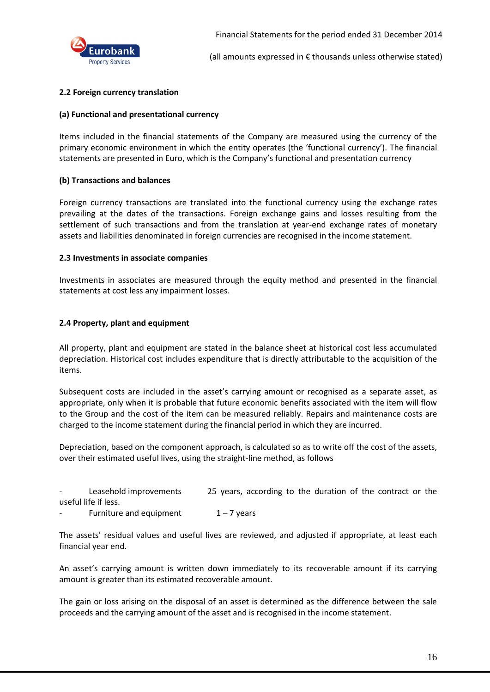

#### **2.2 Foreign currency translation**

#### **(a) Functional and presentational currency**

Items included in the financial statements of the Company are measured using the currency of the primary economic environment in which the entity operates (the 'functional currency'). The financial statements are presented in Euro, which is the Company's functional and presentation currency

#### **(b) Transactions and balances**

Foreign currency transactions are translated into the functional currency using the exchange rates prevailing at the dates of the transactions. Foreign exchange gains and losses resulting from the settlement of such transactions and from the translation at year-end exchange rates of monetary assets and liabilities denominated in foreign currencies are recognised in the income statement.

#### **2.3 Investments in associate companies**

Investments in associates are measured through the equity method and presented in the financial statements at cost less any impairment losses.

#### **2.4 Property, plant and equipment**

All property, plant and equipment are stated in the balance sheet at historical cost less accumulated depreciation. Historical cost includes expenditure that is directly attributable to the acquisition of the items.

Subsequent costs are included in the asset's carrying amount or recognised as a separate asset, as appropriate, only when it is probable that future economic benefits associated with the item will flow to the Group and the cost of the item can be measured reliably. Repairs and maintenance costs are charged to the income statement during the financial period in which they are incurred.

Depreciation, based on the component approach, is calculated so as to write off the cost of the assets, over their estimated useful lives, using the straight-line method, as follows

Leasehold improvements 25 years, according to the duration of the contract or the useful life if less.

Furniture and equipment  $1 - 7$  years

The assets' residual values and useful lives are reviewed, and adjusted if appropriate, at least each financial year end.

An asset's carrying amount is written down immediately to its recoverable amount if its carrying amount is greater than its estimated recoverable amount.

The gain or loss arising on the disposal of an asset is determined as the difference between the sale proceeds and the carrying amount of the asset and is recognised in the income statement.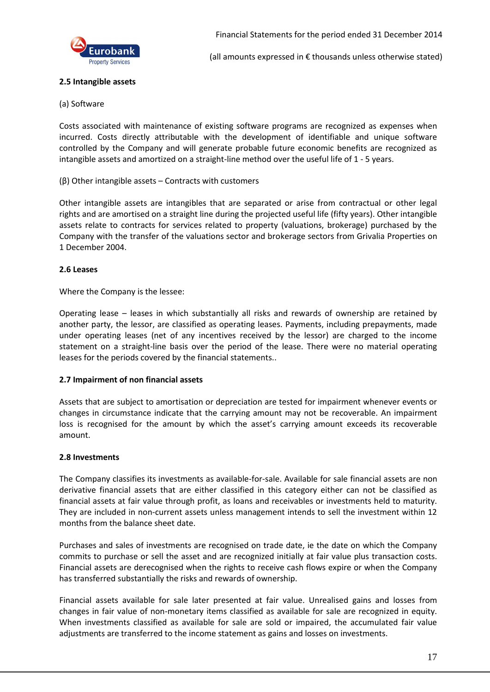

# **2.5 Intangible assets**

# (a) Software

Costs associated with maintenance of existing software programs are recognized as expenses when incurred. Costs directly attributable with the development of identifiable and unique software controlled by the Company and will generate probable future economic benefits are recognized as intangible assets and amortized on a straight-line method over the useful life of 1 - 5 years.

# (β) Other intangible assets – Contracts with customers

Other intangible assets are intangibles that are separated or arise from contractual or other legal rights and are amortised on a straight line during the projected useful life (fifty years). Other intangible assets relate to contracts for services related to property (valuations, brokerage) purchased by the Company with the transfer of the valuations sector and brokerage sectors from Grivalia Properties on 1 December 2004.

# **2.6 Leases**

Where the Company is the lessee:

Operating lease – leases in which substantially all risks and rewards of ownership are retained by another party, the lessor, are classified as operating leases. Payments, including prepayments, made under operating leases (net of any incentives received by the lessor) are charged to the income statement on a straight-line basis over the period of the lease. There were no material operating leases for the periods covered by the financial statements..

#### **2.7 Impairment of non financial assets**

Assets that are subject to amortisation or depreciation are tested for impairment whenever events or changes in circumstance indicate that the carrying amount may not be recoverable. An impairment loss is recognised for the amount by which the asset's carrying amount exceeds its recoverable amount.

#### **2.8 Investments**

The Company classifies its investments as available-for-sale. Available for sale financial assets are non derivative financial assets that are either classified in this category either can not be classified as financial assets at fair value through profit, as loans and receivables or investments held to maturity. They are included in non-current assets unless management intends to sell the investment within 12 months from the balance sheet date.

Purchases and sales of investments are recognised on trade date, ie the date on which the Company commits to purchase or sell the asset and are recognized initially at fair value plus transaction costs. Financial assets are derecognised when the rights to receive cash flows expire or when the Company has transferred substantially the risks and rewards of ownership.

Financial assets available for sale later presented at fair value. Unrealised gains and losses from changes in fair value of non-monetary items classified as available for sale are recognized in equity. When investments classified as available for sale are sold or impaired, the accumulated fair value adjustments are transferred to the income statement as gains and losses on investments.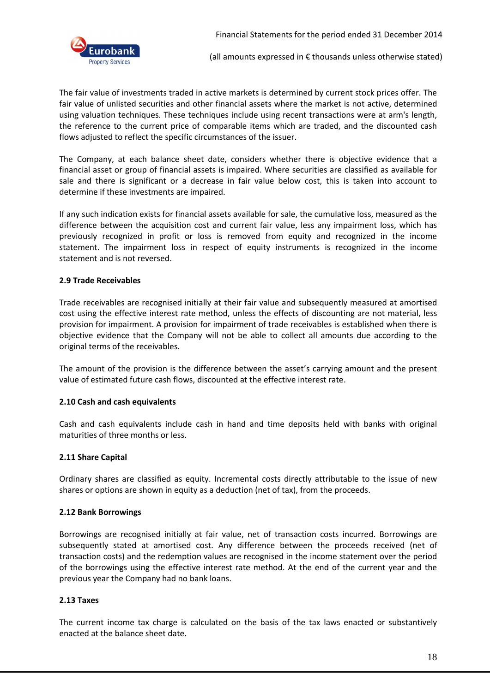

The fair value of investments traded in active markets is determined by current stock prices offer. The fair value of unlisted securities and other financial assets where the market is not active, determined using valuation techniques. These techniques include using recent transactions were at arm's length, the reference to the current price of comparable items which are traded, and the discounted cash flows adjusted to reflect the specific circumstances of the issuer.

The Company, at each balance sheet date, considers whether there is objective evidence that a financial asset or group of financial assets is impaired. Where securities are classified as available for sale and there is significant or a decrease in fair value below cost, this is taken into account to determine if these investments are impaired.

If any such indication exists for financial assets available for sale, the cumulative loss, measured as the difference between the acquisition cost and current fair value, less any impairment loss, which has previously recognized in profit or loss is removed from equity and recognized in the income statement. The impairment loss in respect of equity instruments is recognized in the income statement and is not reversed.

#### **2.9 Trade Receivables**

Trade receivables are recognised initially at their fair value and subsequently measured at amortised cost using the effective interest rate method, unless the effects of discounting are not material, less provision for impairment. A provision for impairment of trade receivables is established when there is objective evidence that the Company will not be able to collect all amounts due according to the original terms of the receivables.

The amount of the provision is the difference between the asset's carrying amount and the present value of estimated future cash flows, discounted at the effective interest rate.

#### **2.10 Cash and cash equivalents**

Cash and cash equivalents include cash in hand and time deposits held with banks with original maturities of three months or less.

#### **2.11 Share Capital**

Ordinary shares are classified as equity. Incremental costs directly attributable to the issue of new shares or options are shown in equity as a deduction (net of tax), from the proceeds.

#### **2.12 Bank Borrowings**

Borrowings are recognised initially at fair value, net of transaction costs incurred. Borrowings are subsequently stated at amortised cost. Any difference between the proceeds received (net of transaction costs) and the redemption values are recognised in the income statement over the period of the borrowings using the effective interest rate method. At the end of the current year and the previous year the Company had no bank loans.

#### **2.13 Taxes**

The current income tax charge is calculated on the basis of the tax laws enacted or substantively enacted at the balance sheet date.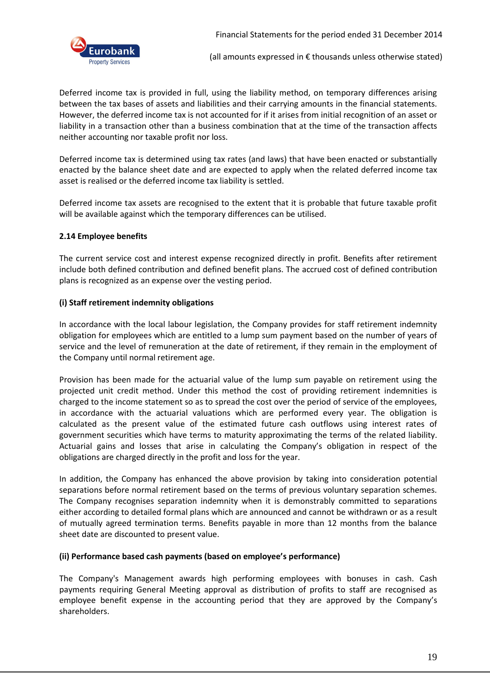

Deferred income tax is provided in full, using the liability method, on temporary differences arising between the tax bases of assets and liabilities and their carrying amounts in the financial statements. However, the deferred income tax is not accounted for if it arises from initial recognition of an asset or liability in a transaction other than a business combination that at the time of the transaction affects neither accounting nor taxable profit nor loss.

Deferred income tax is determined using tax rates (and laws) that have been enacted or substantially enacted by the balance sheet date and are expected to apply when the related deferred income tax asset is realised or the deferred income tax liability is settled.

Deferred income tax assets are recognised to the extent that it is probable that future taxable profit will be available against which the temporary differences can be utilised.

# **2.14 Employee benefits**

The current service cost and interest expense recognized directly in profit. Benefits after retirement include both defined contribution and defined benefit plans. The accrued cost of defined contribution plans is recognized as an expense over the vesting period.

# **(i) Staff retirement indemnity obligations**

In accordance with the local labour legislation, the Company provides for staff retirement indemnity obligation for employees which are entitled to a lump sum payment based on the number of years of service and the level of remuneration at the date of retirement, if they remain in the employment of the Company until normal retirement age.

Provision has been made for the actuarial value of the lump sum payable on retirement using the projected unit credit method. Under this method the cost of providing retirement indemnities is charged to the income statement so as to spread the cost over the period of service of the employees, in accordance with the actuarial valuations which are performed every year. The obligation is calculated as the present value of the estimated future cash outflows using interest rates of government securities which have terms to maturity approximating the terms of the related liability. Actuarial gains and losses that arise in calculating the Company's obligation in respect of the obligations are charged directly in the profit and loss for the year.

In addition, the Company has enhanced the above provision by taking into consideration potential separations before normal retirement based on the terms of previous voluntary separation schemes. The Company recognises separation indemnity when it is demonstrably committed to separations either according to detailed formal plans which are announced and cannot be withdrawn or as a result of mutually agreed termination terms. Benefits payable in more than 12 months from the balance sheet date are discounted to present value.

#### **(ii) Performance based cash payments (based on employee's performance)**

The Company's Management awards high performing employees with bonuses in cash. Cash payments requiring General Meeting approval as distribution of profits to staff are recognised as employee benefit expense in the accounting period that they are approved by the Company's shareholders.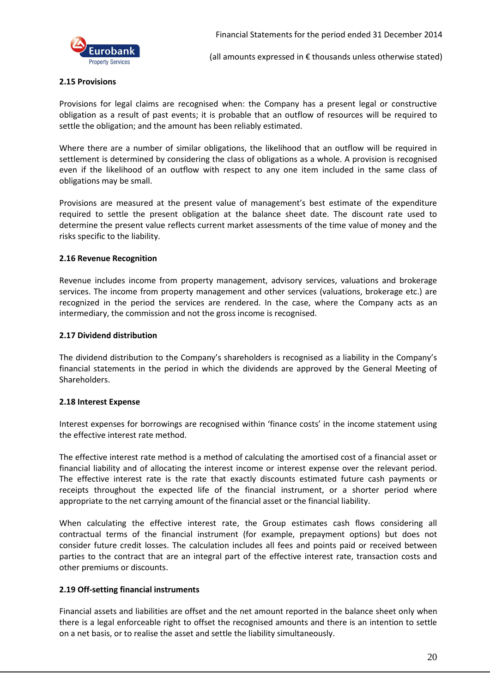

# **2.15 Provisions**

Provisions for legal claims are recognised when: the Company has a present legal or constructive obligation as a result of past events; it is probable that an outflow of resources will be required to settle the obligation; and the amount has been reliably estimated.

Where there are a number of similar obligations, the likelihood that an outflow will be required in settlement is determined by considering the class of obligations as a whole. A provision is recognised even if the likelihood of an outflow with respect to any one item included in the same class of obligations may be small.

Provisions are measured at the present value of management's best estimate of the expenditure required to settle the present obligation at the balance sheet date. The discount rate used to determine the present value reflects current market assessments of the time value of money and the risks specific to the liability.

#### **2.16 Revenue Recognition**

Revenue includes income from property management, advisory services, valuations and brokerage services. The income from property management and other services (valuations, brokerage etc.) are recognized in the period the services are rendered. In the case, where the Company acts as an intermediary, the commission and not the gross income is recognised.

#### **2.17 Dividend distribution**

The dividend distribution to the Company's shareholders is recognised as a liability in the Company's financial statements in the period in which the dividends are approved by the General Meeting of Shareholders.

#### **2.18 Interest Expense**

Interest expenses for borrowings are recognised within 'finance costs' in the income statement using the effective interest rate method.

The effective interest rate method is a method of calculating the amortised cost of a financial asset or financial liability and of allocating the interest income or interest expense over the relevant period. The effective interest rate is the rate that exactly discounts estimated future cash payments or receipts throughout the expected life of the financial instrument, or a shorter period where appropriate to the net carrying amount of the financial asset or the financial liability.

When calculating the effective interest rate, the Group estimates cash flows considering all contractual terms of the financial instrument (for example, prepayment options) but does not consider future credit losses. The calculation includes all fees and points paid or received between parties to the contract that are an integral part of the effective interest rate, transaction costs and other premiums or discounts.

#### **2.19 Off-setting financial instruments**

Financial assets and liabilities are offset and the net amount reported in the balance sheet only when there is a legal enforceable right to offset the recognised amounts and there is an intention to settle on a net basis, or to realise the asset and settle the liability simultaneously.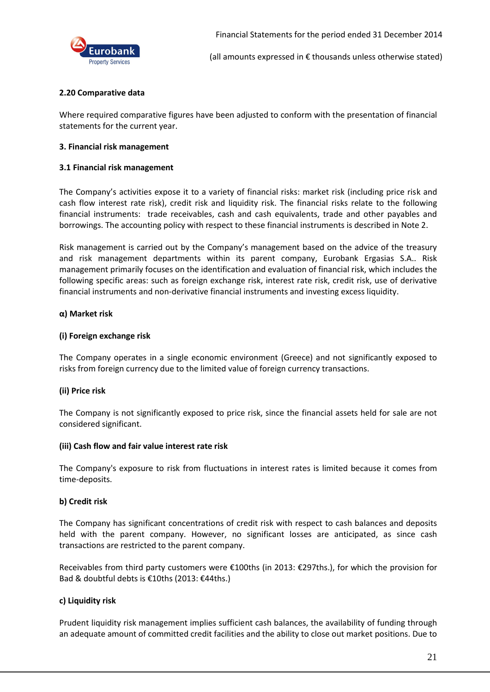

# **2.20 Comparative data**

Where required comparative figures have been adjusted to conform with the presentation of financial statements for the current year.

#### **3. Financial risk management**

#### **3.1 Financial risk management**

The Company's activities expose it to a variety of financial risks: market risk (including price risk and cash flow interest rate risk), credit risk and liquidity risk. The financial risks relate to the following financial instruments: trade receivables, cash and cash equivalents, trade and other payables and borrowings. The accounting policy with respect to these financial instruments is described in Note 2.

Risk management is carried out by the Company's management based on the advice of the treasury and risk management departments within its parent company, Eurobank Ergasias S.A.. Risk management primarily focuses on the identification and evaluation of financial risk, which includes the following specific areas: such as foreign exchange risk, interest rate risk, credit risk, use of derivative financial instruments and non-derivative financial instruments and investing excess liquidity.

#### **α) Market risk**

# **(i) Foreign exchange risk**

The Company operates in a single economic environment (Greece) and not significantly exposed to risks from foreign currency due to the limited value of foreign currency transactions.

#### **(ii) Price risk**

The Company is not significantly exposed to price risk, since the financial assets held for sale are not considered significant.

#### **(iii) Cash flow and fair value interest rate risk**

The Company's exposure to risk from fluctuations in interest rates is limited because it comes from time-deposits.

#### **b) Credit risk**

The Company has significant concentrations of credit risk with respect to cash balances and deposits held with the parent company. However, no significant losses are anticipated, as since cash transactions are restricted to the parent company.

Receivables from third party customers were €100ths (in 2013: €297ths.), for which the provision for Bad & doubtful debts is €10ths (2013: €44ths.)

# **c) Liquidity risk**

Prudent liquidity risk management implies sufficient cash balances, the availability of funding through an adequate amount of committed credit facilities and the ability to close out market positions. Due to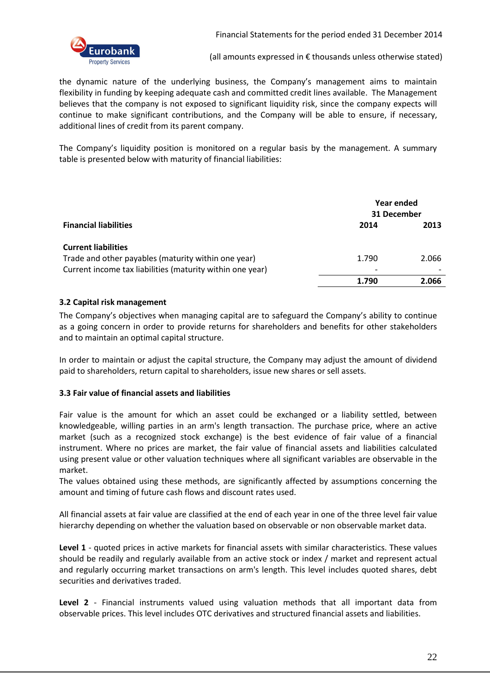the dynamic nature of the underlying business, the Company's management aims to maintain flexibility in funding by keeping adequate cash and committed credit lines available. The Management believes that the company is not exposed to significant liquidity risk, since the company expects will continue to make significant contributions, and the Company will be able to ensure, if necessary, additional lines of credit from its parent company.

The Company's liquidity position is monitored on a regular basis by the management. A summary table is presented below with maturity of financial liabilities:

|                                                           | Year ended<br>31 December |       |
|-----------------------------------------------------------|---------------------------|-------|
| <b>Financial liabilities</b>                              | 2014                      | 2013  |
| <b>Current liabilities</b>                                |                           |       |
| Trade and other payables (maturity within one year)       | 1.790                     | 2.066 |
| Current income tax liabilities (maturity within one year) |                           |       |
|                                                           | 1.790                     | 2.066 |

# **3.2 Capital risk management**

The Company's objectives when managing capital are to safeguard the Company's ability to continue as a going concern in order to provide returns for shareholders and benefits for other stakeholders and to maintain an optimal capital structure.

In order to maintain or adjust the capital structure, the Company may adjust the amount of dividend paid to shareholders, return capital to shareholders, issue new shares or sell assets.

# **3.3 Fair value of financial assets and liabilities**

Fair value is the amount for which an asset could be exchanged or a liability settled, between knowledgeable, willing parties in an arm's length transaction. The purchase price, where an active market (such as a recognized stock exchange) is the best evidence of fair value of a financial instrument. Where no prices are market, the fair value of financial assets and liabilities calculated using present value or other valuation techniques where all significant variables are observable in the market.

The values obtained using these methods, are significantly affected by assumptions concerning the amount and timing of future cash flows and discount rates used.

All financial assets at fair value are classified at the end of each year in one of the three level fair value hierarchy depending on whether the valuation based on observable or non observable market data.

**Level 1** - quoted prices in active markets for financial assets with similar characteristics. These values should be readily and regularly available from an active stock or index / market and represent actual and regularly occurring market transactions on arm's length. This level includes quoted shares, debt securities and derivatives traded.

**Level 2** - Financial instruments valued using valuation methods that all important data from observable prices. This level includes OTC derivatives and structured financial assets and liabilities.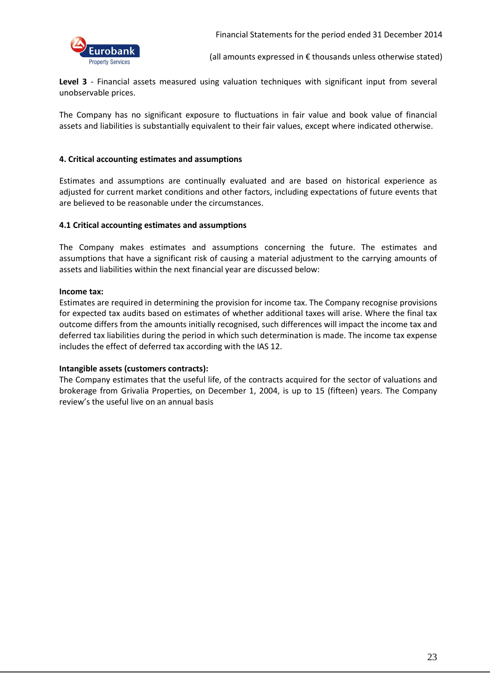

**Level 3** - Financial assets measured using valuation techniques with significant input from several unobservable prices.

The Company has no significant exposure to fluctuations in fair value and book value of financial assets and liabilities is substantially equivalent to their fair values, except where indicated otherwise.

#### **4. Critical accounting estimates and assumptions**

Estimates and assumptions are continually evaluated and are based on historical experience as adjusted for current market conditions and other factors, including expectations of future events that are believed to be reasonable under the circumstances.

#### **4.1 Critical accounting estimates and assumptions**

The Company makes estimates and assumptions concerning the future. The estimates and assumptions that have a significant risk of causing a material adjustment to the carrying amounts of assets and liabilities within the next financial year are discussed below:

#### **Income tax:**

Estimates are required in determining the provision for income tax. The Company recognise provisions for expected tax audits based on estimates of whether additional taxes will arise. Where the final tax outcome differs from the amounts initially recognised, such differences will impact the income tax and deferred tax liabilities during the period in which such determination is made. The income tax expense includes the effect of deferred tax according with the IAS 12.

#### **Intangible assets (customers contracts):**

The Company estimates that the useful life, of the contracts acquired for the sector of valuations and brokerage from Grivalia Properties, on December 1, 2004, is up to 15 (fifteen) years. The Company review's the useful live on an annual basis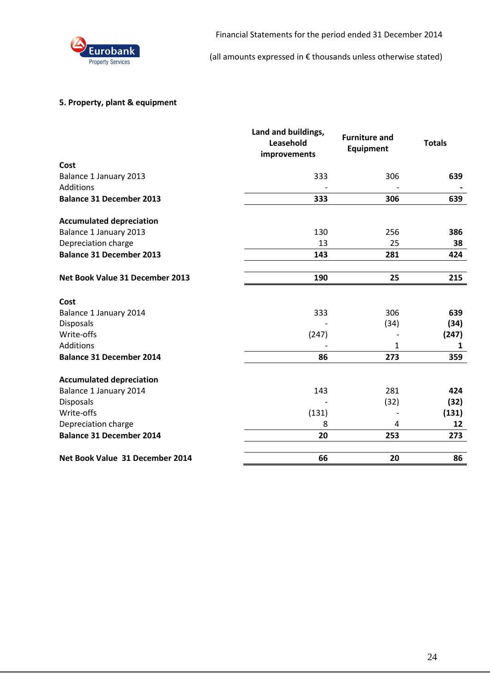

# **5. Property, plant & equipment**

|                                 | Land and buildings,<br>Leasehold<br>improvements | <b>Furniture and</b><br>Equipment | <b>Totals</b> |
|---------------------------------|--------------------------------------------------|-----------------------------------|---------------|
| Cost                            |                                                  |                                   |               |
| Balance 1 January 2013          | 333                                              | 306                               | 639           |
| Additions                       |                                                  |                                   |               |
| <b>Balance 31 December 2013</b> | 333                                              | 306                               | 639           |
| <b>Accumulated depreciation</b> |                                                  |                                   |               |
| Balance 1 January 2013          | 130                                              | 256                               | 386           |
| Depreciation charge             | 13                                               | 25                                | 38            |
| <b>Balance 31 December 2013</b> | 143                                              | 281                               | 424           |
| Net Book Value 31 December 2013 | 190                                              | 25                                | 215           |
| Cost                            |                                                  |                                   |               |
| Balance 1 January 2014          | 333                                              | 306                               | 639           |
| <b>Disposals</b>                |                                                  | (34)                              | (34)          |
| Write-offs                      | (247)                                            |                                   | (247)         |
| Additions                       |                                                  | 1                                 | 1             |
| <b>Balance 31 December 2014</b> | 86                                               | 273                               | 359           |
| <b>Accumulated depreciation</b> |                                                  |                                   |               |
| Balance 1 January 2014          | 143                                              | 281                               | 424           |
| <b>Disposals</b>                |                                                  | (32)                              | (32)          |
| Write-offs                      | (131)                                            |                                   | (131)         |
| Depreciation charge             | 8                                                | 4                                 | 12            |
| <b>Balance 31 December 2014</b> | 20                                               | 253                               | 273           |
| Net Book Value 31 December 2014 | 66                                               | 20                                | 86            |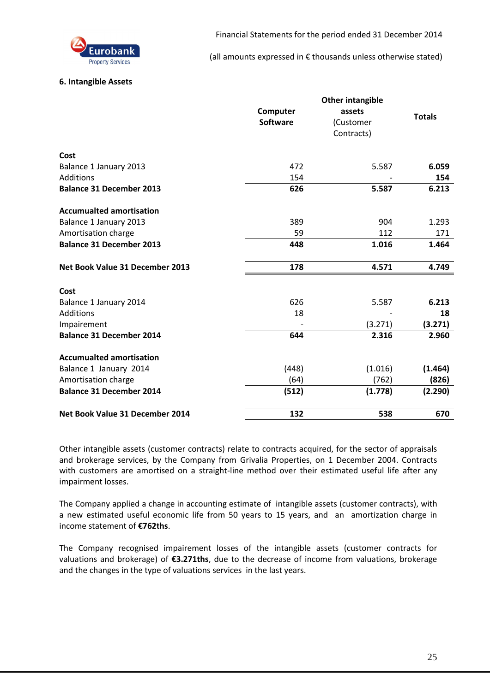

#### **6. Intangible Assets**

|                                 | Other intangible            |                                   |               |  |
|---------------------------------|-----------------------------|-----------------------------------|---------------|--|
|                                 | Computer<br><b>Software</b> | assets<br>(Customer<br>Contracts) | <b>Totals</b> |  |
| Cost                            |                             |                                   |               |  |
| Balance 1 January 2013          | 472                         | 5.587                             | 6.059         |  |
| Additions                       | 154                         |                                   | 154           |  |
| <b>Balance 31 December 2013</b> | 626                         | 5.587                             | 6.213         |  |
| <b>Accumualted amortisation</b> |                             |                                   |               |  |
| Balance 1 January 2013          | 389                         | 904                               | 1.293         |  |
| Amortisation charge             | 59                          | 112                               | 171           |  |
| <b>Balance 31 December 2013</b> | 448                         | 1.016                             | 1.464         |  |
| Net Book Value 31 December 2013 | 178                         | 4.571                             | 4.749         |  |
| Cost                            |                             |                                   |               |  |
| Balance 1 January 2014          | 626                         | 5.587                             | 6.213         |  |
| Additions                       | 18                          |                                   | 18            |  |
| Impairement                     |                             | (3.271)                           | (3.271)       |  |
| <b>Balance 31 December 2014</b> | 644                         | 2.316                             | 2.960         |  |
| <b>Accumualted amortisation</b> |                             |                                   |               |  |
| Balance 1 January 2014          | (448)                       | (1.016)                           | (1.464)       |  |
| Amortisation charge             | (64)                        | (762)                             | (826)         |  |
| <b>Balance 31 December 2014</b> | (512)                       | (1.778)                           | (2.290)       |  |
| Net Book Value 31 December 2014 | 132                         | 538                               | 670           |  |

Other intangible assets (customer contracts) relate to contracts acquired, for the sector of appraisals and brokerage services, by the Company from Grivalia Properties, on 1 December 2004. Contracts with customers are amortised on a straight-line method over their estimated useful life after any impairment losses.

The Company applied a change in accounting estimate of intangible assets (customer contracts), with a new estimated useful economic life from 50 years to 15 years, and an amortization charge in income statement of **€762ths**.

The Company recognised impairement losses of the intangible assets (customer contracts for valuations and brokerage) of **€3.271ths**, due to the decrease of income from valuations, brokerage and the changes in the type of valuations services in the last years.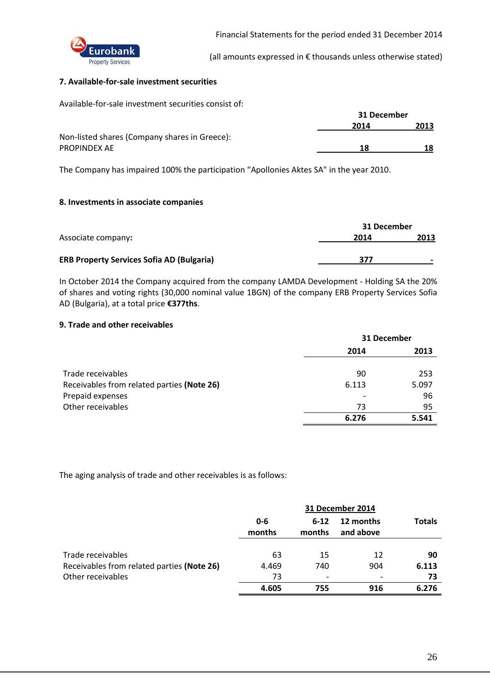# **7. Available-for-sale investment securities**

Available-for-sale investment securities consist of:

|                                               | 31 December |      |
|-----------------------------------------------|-------------|------|
|                                               | 2014        | 2013 |
| Non-listed shares (Company shares in Greece): |             |      |
| PROPINDEX AE                                  | 18          | 18   |

The Company has impaired 100% the participation "Apollonies Aktes SA" in the year 2010.

#### **8. Investments in associate companies**

|                                                  | 31 December |      |
|--------------------------------------------------|-------------|------|
| Associate company:                               | 2014        | 2013 |
| <b>ERB Property Services Sofia AD (Bulgaria)</b> | 377         | $\,$ |

In October 2014 the Company acquired from the company LAMDA Development - Holding SA the 20% of shares and voting rights (30,000 nominal value 1BGN) of the company ERB Property Services Sofia AD (Bulgaria), at a total price **€377ths**.

# **9. Trade and other receivables**

|                                            | 31 December |       |
|--------------------------------------------|-------------|-------|
|                                            | 2014        | 2013  |
| Trade receivables                          | 90          | 253   |
| Receivables from related parties (Note 26) | 6.113       | 5.097 |
| Prepaid expenses                           |             | 96    |
| Other receivables                          | 73          | 95    |
|                                            | 6.276       | 5.541 |

The aging analysis of trade and other receivables is as follows:

|                                            | 31 December 2014  |                          |                        |               |
|--------------------------------------------|-------------------|--------------------------|------------------------|---------------|
|                                            | $0 - 6$<br>months | $6 - 12$<br>months       | 12 months<br>and above | <b>Totals</b> |
| Trade receivables                          | 63                | 15                       | 12                     | 90            |
| Receivables from related parties (Note 26) | 4.469             | 740                      | 904                    | 6.113         |
| Other receivables                          | 73                | $\overline{\phantom{a}}$ |                        | 73            |
|                                            | 4.605             | 755                      | 916                    | 6.276         |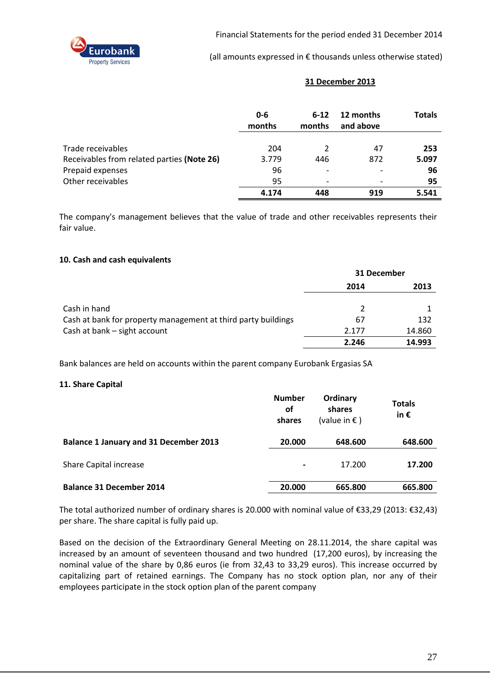

# **31 December 2013**

|                                            | $0 - 6$<br>months | $6 - 12$<br>months | 12 months<br>and above | <b>Totals</b> |
|--------------------------------------------|-------------------|--------------------|------------------------|---------------|
|                                            |                   |                    |                        |               |
| Trade receivables                          | 204               |                    | 47                     | 253           |
| Receivables from related parties (Note 26) | 3.779             | 446                | 872                    | 5.097         |
| Prepaid expenses                           | 96                |                    |                        | 96            |
| Other receivables                          | 95                | -                  |                        | 95            |
|                                            | 4.174             | 448                | 919                    | 5.541         |

The company's management believes that the value of trade and other receivables represents their fair value.

#### **10. Cash and cash equivalents**

|                                                               | 31 December |        |
|---------------------------------------------------------------|-------------|--------|
|                                                               | 2014        | 2013   |
| Cash in hand                                                  | 2           |        |
| Cash at bank for property management at third party buildings | 67          | 132    |
| Cash at bank – sight account                                  | 2.177       | 14.860 |
|                                                               | 2.246       | 14.993 |

Bank balances are held on accounts within the parent company Eurobank Ergasias SA

#### **11. Share Capital**

|                                               | <b>Number</b><br><b>of</b><br>shares | Ordinary<br>shares<br>(value in $\epsilon$ ) | <b>Totals</b><br>in $\epsilon$ |
|-----------------------------------------------|--------------------------------------|----------------------------------------------|--------------------------------|
| <b>Balance 1 January and 31 December 2013</b> | 20.000                               | 648.600                                      | 648.600                        |
| Share Capital increase                        | $\blacksquare$                       | 17.200                                       | 17.200                         |
| <b>Balance 31 December 2014</b>               | 20.000                               | 665.800                                      | 665.800                        |

The total authorized number of ordinary shares is 20.000 with nominal value of €33,29 (2013: €32,43) per share. The share capital is fully paid up.

Based on the decision of the Extraordinary General Meeting on 28.11.2014, the share capital was increased by an amount of seventeen thousand and two hundred (17,200 euros), by increasing the nominal value of the share by 0,86 euros (ie from 32,43 to 33,29 euros). This increase occurred by capitalizing part of retained earnings. The Company has no stock option plan, nor any of their employees participate in the stock option plan of the parent company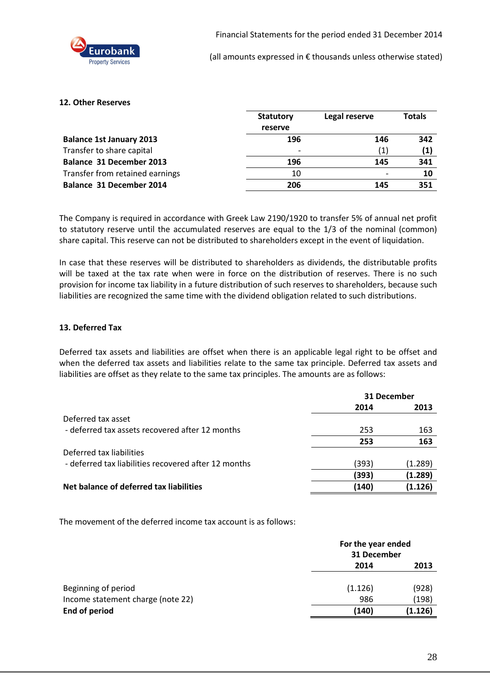

**12. Other Reserves**

|                                 | <b>Statutory</b>         | Legal reserve            | <b>Totals</b> |
|---------------------------------|--------------------------|--------------------------|---------------|
|                                 | reserve                  |                          |               |
| <b>Balance 1st January 2013</b> | 196                      | 146                      | 342           |
| Transfer to share capital       | $\overline{\phantom{0}}$ | (1)                      | (1)           |
| Balance 31 December 2013        | 196                      | 145                      | 341           |
| Transfer from retained earnings | 10                       | $\overline{\phantom{a}}$ | 10            |
| Balance 31 December 2014        | 206                      | 145                      | 351           |

The Company is required in accordance with Greek Law 2190/1920 to transfer 5% of annual net profit to statutory reserve until the accumulated reserves are equal to the 1/3 of the nominal (common) share capital. This reserve can not be distributed to shareholders except in the event of liquidation.

In case that these reserves will be distributed to shareholders as dividends, the distributable profits will be taxed at the tax rate when were in force on the distribution of reserves. There is no such provision for income tax liability in a future distribution of such reserves to shareholders, because such liabilities are recognized the same time with the dividend obligation related to such distributions.

# **13. Deferred Tax**

Deferred tax assets and liabilities are offset when there is an applicable legal right to be offset and when the deferred tax assets and liabilities relate to the same tax principle. Deferred tax assets and liabilities are offset as they relate to the same tax principles. The amounts are as follows:

|                                                      | 31 December |         |
|------------------------------------------------------|-------------|---------|
|                                                      | 2014        | 2013    |
| Deferred tax asset                                   |             |         |
| - deferred tax assets recovered after 12 months      | 253         | 163     |
|                                                      | 253         | 163     |
| Deferred tax liabilities                             |             |         |
| - deferred tax liabilities recovered after 12 months | (393)       | (1.289) |
|                                                      | (393)       | (1.289) |
| Net balance of deferred tax liabilities              | (140)       | (1.126) |

The movement of the deferred income tax account is as follows:

|                                   | For the year ended<br>31 December |         |
|-----------------------------------|-----------------------------------|---------|
|                                   | 2014                              | 2013    |
| Beginning of period               | (1.126)                           | (928)   |
| Income statement charge (note 22) | 986                               | (198)   |
| End of period                     | (140)                             | (1.126) |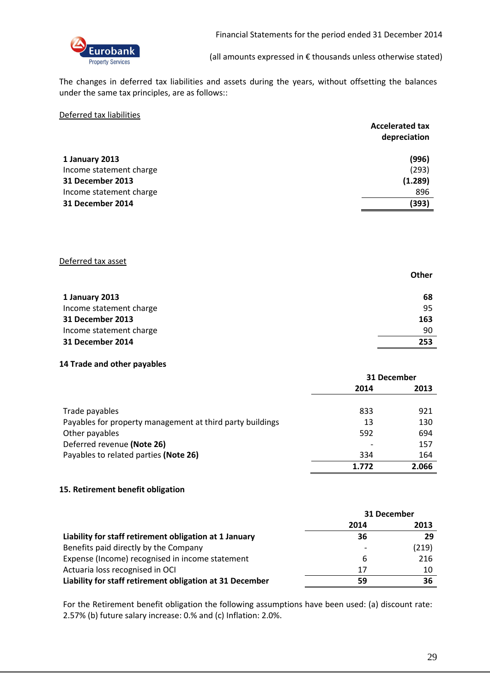

The changes in deferred tax liabilities and assets during the years, without offsetting the balances under the same tax principles, are as follows::

# Deferred tax liabilities

|                         | <b>Accelerated tax</b><br>depreciation |
|-------------------------|----------------------------------------|
| 1 January 2013          | (996)                                  |
| Income statement charge | (293)                                  |
| 31 December 2013        | (1.289)                                |
| Income statement charge | 896                                    |
| 31 December 2014        | (393)                                  |
|                         |                                        |

# Deferred tax asset

|                         | <b>Other</b> |
|-------------------------|--------------|
| 1 January 2013          | 68           |
| Income statement charge | 95           |
| 31 December 2013        | 163          |
| Income statement charge | 90           |
| 31 December 2014        | 253          |

# **14 Trade and other payables**

|                                                           | 31 December |       |
|-----------------------------------------------------------|-------------|-------|
|                                                           | 2014        | 2013  |
|                                                           |             |       |
| Trade payables                                            | 833         | 921   |
| Payables for property management at third party buildings | 13          | 130   |
| Other payables                                            | 592         | 694   |
| Deferred revenue (Note 26)                                |             | 157   |
| Payables to related parties (Note 26)                     | 334         | 164   |
|                                                           | 1.772       | 2.066 |

# **15. Retirement benefit obligation**

|                                                          | 31 December |       |
|----------------------------------------------------------|-------------|-------|
|                                                          | 2014        | 2013  |
| Liability for staff retirement obligation at 1 January   | 36          | 29    |
| Benefits paid directly by the Company                    |             | (219) |
| Expense (Income) recognised in income statement          | 6           | 216   |
| Actuaria loss recognised in OCI                          | 17          | 10    |
| Liability for staff retirement obligation at 31 December | 59          | 36    |

For the Retirement benefit obligation the following assumptions have been used: (a) discount rate: 2.57% (b) future salary increase: 0.% and (c) Inflation: 2.0%.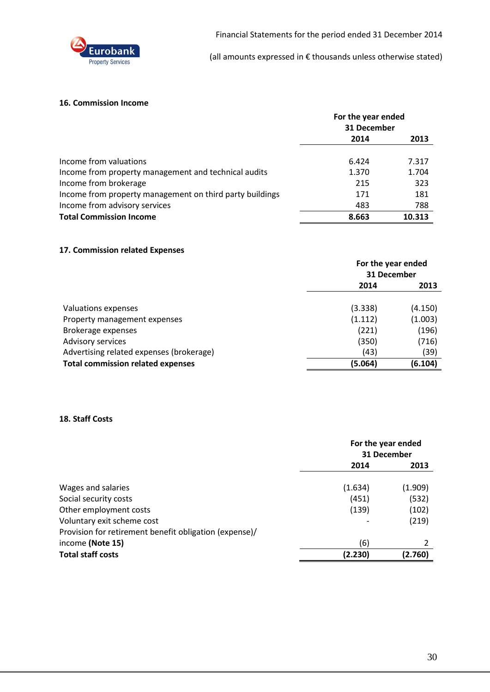

#### **16. Commission Income**

|                                                          | For the year ended<br>31 December |        |
|----------------------------------------------------------|-----------------------------------|--------|
|                                                          |                                   |        |
|                                                          | 2014                              | 2013   |
| Income from valuations                                   | 6.424                             | 7.317  |
| Income from property management and technical audits     | 1.370                             | 1.704  |
| Income from brokerage                                    | 215                               | 323    |
| Income from property management on third party buildings | 171                               | 181    |
| Income from advisory services                            | 483                               | 788    |
| <b>Total Commission Income</b>                           | 8.663                             | 10.313 |

# **17. Commission related Expenses**

|                                          |         | For the year ended<br>31 December |  |
|------------------------------------------|---------|-----------------------------------|--|
|                                          | 2014    | 2013                              |  |
| Valuations expenses                      | (3.338) | (4.150)                           |  |
| Property management expenses             | (1.112) | (1.003)                           |  |
| Brokerage expenses                       | (221)   | (196)                             |  |
| Advisory services                        | (350)   | (716)                             |  |
| Advertising related expenses (brokerage) | (43)    | (39)                              |  |
| <b>Total commission related expenses</b> | (5.064) | (6.104)                           |  |

# **18. Staff Costs**

|                                                        | For the year ended<br>31 December |         |
|--------------------------------------------------------|-----------------------------------|---------|
|                                                        | 2014                              | 2013    |
| Wages and salaries                                     | (1.634)                           | (1.909) |
| Social security costs                                  | (451)                             | (532)   |
| Other employment costs                                 | (139)                             | (102)   |
| Voluntary exit scheme cost                             |                                   | (219)   |
| Provision for retirement benefit obligation (expense)/ |                                   |         |
| income (Note 15)                                       | (6)                               |         |
| <b>Total staff costs</b>                               | (2.230)                           | (2.760) |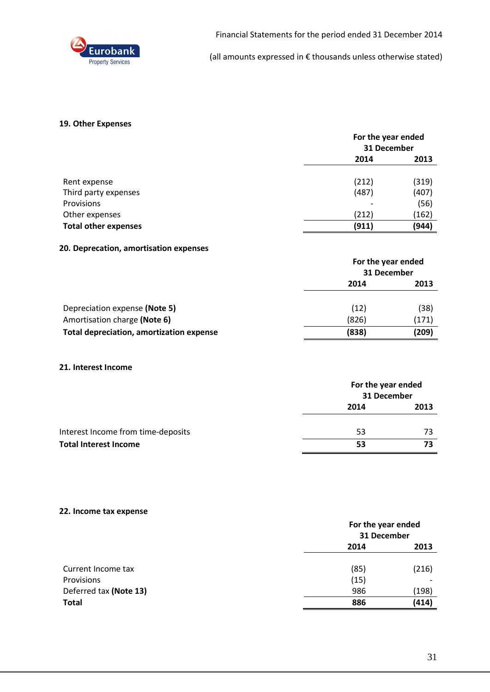

# **19. Other Expenses**

|                             | For the year ended<br>31 December |       |
|-----------------------------|-----------------------------------|-------|
|                             | 2014                              | 2013  |
| Rent expense                | (212)                             | (319) |
| Third party expenses        | (487)                             | (407) |
| Provisions                  |                                   | (56)  |
| Other expenses              | (212)                             | (162) |
| <b>Total other expenses</b> | (911)                             | (944) |

# **20. Deprecation, amortisation expenses**

|                                                 |       | For the year ended<br>31 December |  |
|-------------------------------------------------|-------|-----------------------------------|--|
|                                                 | 2014  | 2013                              |  |
| Depreciation expense (Note 5)                   | (12)  | (38)                              |  |
| Amortisation charge (Note 6)                    | (826) | (171)                             |  |
| <b>Total depreciation, amortization expense</b> | (838) | (209)                             |  |

#### **21. Interest Income**

|                                    |      | For the year ended<br>31 December |  |
|------------------------------------|------|-----------------------------------|--|
|                                    | 2014 | 2013                              |  |
| Interest Income from time-deposits | 53   | 73                                |  |
| <b>Total Interest Income</b>       | 53   | 73                                |  |

# **22. Income tax expense**

|                        | For the year ended<br>31 December |       |
|------------------------|-----------------------------------|-------|
|                        | 2014                              | 2013  |
| Current Income tax     | (85)                              | (216) |
| Provisions             | (15)                              |       |
| Deferred tax (Note 13) | 986                               | (198) |
| <b>Total</b>           | 886                               | (414) |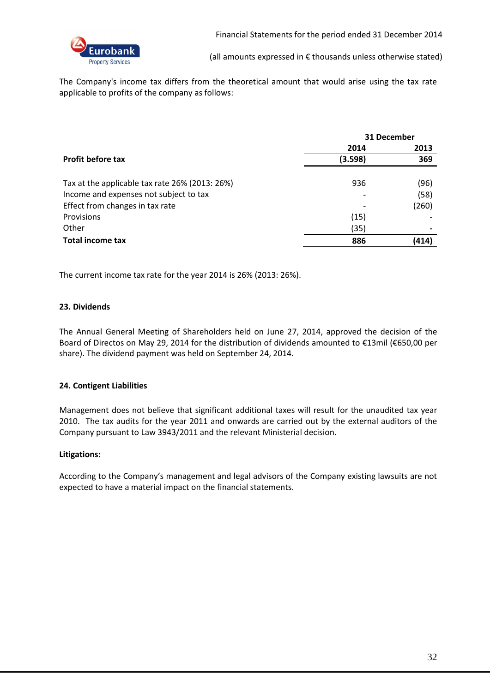

The Company's income tax differs from the theoretical amount that would arise using the tax rate applicable to profits of the company as follows:

|                                                | 31 December |       |
|------------------------------------------------|-------------|-------|
|                                                | 2014        | 2013  |
| Profit before tax                              | (3.598)     | 369   |
|                                                |             |       |
| Tax at the applicable tax rate 26% (2013: 26%) | 936         | (96)  |
| Income and expenses not subject to tax         |             | (58)  |
| Effect from changes in tax rate                |             | (260) |
| Provisions                                     | (15)        |       |
| Other                                          | (35)        |       |
| <b>Total income tax</b>                        | 886         | (414) |

The current income tax rate for the year 2014 is 26% (2013: 26%).

#### **23. Dividends**

The Annual General Meeting of Shareholders held on June 27, 2014, approved the decision of the Board of Directos on May 29, 2014 for the distribution of dividends amounted to €13mil (€650,00 per share). The dividend payment was held on September 24, 2014.

#### **24. Contigent Liabilities**

Management does not believe that significant additional taxes will result for the unaudited tax year 2010. The tax audits for the year 2011 and onwards are carried out by the external auditors of the Company pursuant to Law 3943/2011 and the relevant Ministerial decision.

#### **Litigations:**

According to the Company's management and legal advisors of the Company existing lawsuits are not expected to have a material impact on the financial statements.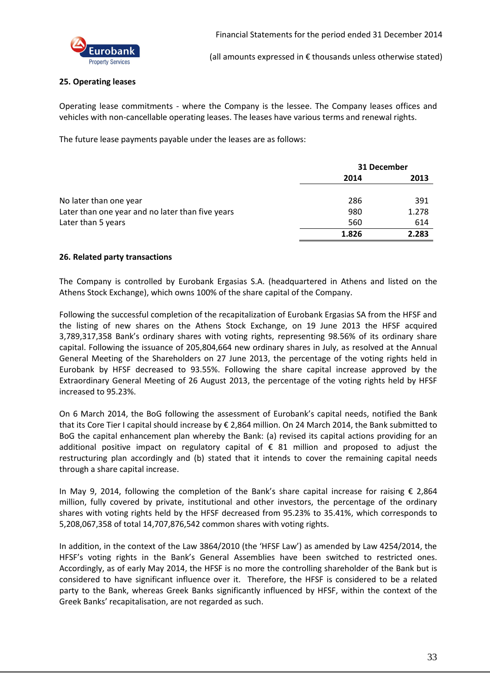

# **25. Operating leases**

Operating lease commitments - where the Company is the lessee. The Company leases offices and vehicles with non-cancellable operating leases. The leases have various terms and renewal rights.

The future lease payments payable under the leases are as follows:

|                                                  | 31 December |       |
|--------------------------------------------------|-------------|-------|
|                                                  | 2014        | 2013  |
|                                                  |             |       |
| No later than one year                           | 286         | 391   |
| Later than one year and no later than five years | 980         | 1.278 |
| Later than 5 years                               | 560         | 614   |
|                                                  | 1.826       | 2.283 |

# **26. Related party transactions**

The Company is controlled by Eurobank Ergasias S.A. (headquartered in Athens and listed on the Athens Stock Exchange), which owns 100% of the share capital of the Company.

Following the successful completion of the recapitalization of Eurobank Ergasias SA from the HFSF and the listing of new shares on the Athens Stock Exchange, on 19 June 2013 the HFSF acquired 3,789,317,358 Bank's ordinary shares with voting rights, representing 98.56% of its ordinary share capital. Following the issuance of 205,804,664 new ordinary shares in July, as resolved at the Annual General Meeting of the Shareholders on 27 June 2013, the percentage of the voting rights held in Eurobank by HFSF decreased to 93.55%. Following the share capital increase approved by the Extraordinary General Meeting of 26 August 2013, the percentage of the voting rights held by HFSF increased to 95.23%.

On 6 March 2014, the BoG following the assessment of Eurobank's capital needs, notified the Bank that its Core Tier I capital should increase by € 2,864 million. On 24 March 2014, the Bank submitted to BoG the capital enhancement plan whereby the Bank: (a) revised its capital actions providing for an additional positive impact on regulatory capital of  $\epsilon$  81 million and proposed to adjust the restructuring plan accordingly and (b) stated that it intends to cover the remaining capital needs through a share capital increase.

In May 9, 2014, following the completion of the Bank's share capital increase for raising  $\epsilon$  2,864 million, fully covered by private, institutional and other investors, the percentage of the ordinary shares with voting rights held by the HFSF decreased from 95.23% to 35.41%, which corresponds to 5,208,067,358 of total 14,707,876,542 common shares with voting rights.

In addition, in the context of the Law 3864/2010 (the 'HFSF Law') as amended by Law 4254/2014, the HFSF's voting rights in the Bank's General Assemblies have been switched to restricted ones. Accordingly, as of early May 2014, the HFSF is no more the controlling shareholder of the Bank but is considered to have significant influence over it. Therefore, the HFSF is considered to be a related party to the Bank, whereas Greek Banks significantly influenced by HFSF, within the context of the Greek Banks' recapitalisation, are not regarded as such.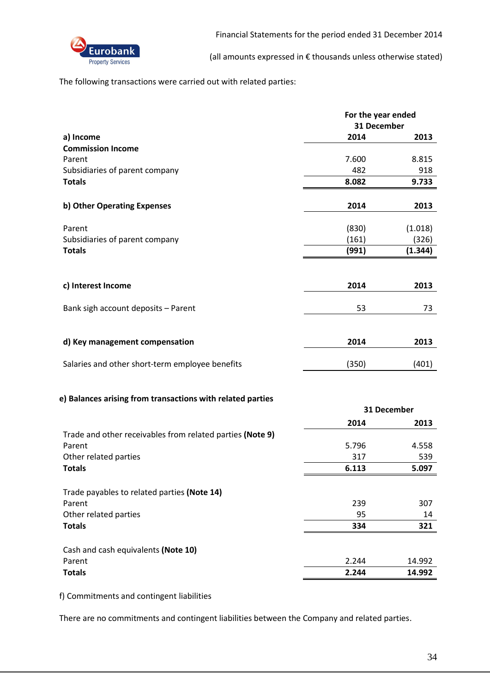

The following transactions were carried out with related parties:

|                                                            | For the year ended |         |
|------------------------------------------------------------|--------------------|---------|
|                                                            | 31 December        |         |
| a) Income                                                  | 2014               | 2013    |
| <b>Commission Income</b>                                   |                    |         |
| Parent                                                     | 7.600              | 8.815   |
| Subsidiaries of parent company                             | 482                | 918     |
| <b>Totals</b>                                              | 8.082              | 9.733   |
| b) Other Operating Expenses                                | 2014               | 2013    |
| Parent                                                     | (830)              | (1.018) |
| Subsidiaries of parent company                             | (161)              | (326)   |
| <b>Totals</b>                                              | (991)              | (1.344) |
| c) Interest Income                                         | 2014               | 2013    |
|                                                            |                    |         |
| Bank sigh account deposits - Parent                        | 53                 | 73      |
| d) Key management compensation                             | 2014               | 2013    |
|                                                            |                    |         |
| Salaries and other short-term employee benefits            | (350)              | (401)   |
| e) Balances arising from transactions with related parties |                    |         |
|                                                            | 31 December        |         |
|                                                            | 2014               | 2013    |
| Trade and other receivables from related parties (Note 9)  |                    |         |
| Parent                                                     | 5.796              | 4.558   |
| Other related parties                                      | 317                | 539     |
| <b>Totals</b>                                              | 6.113              | 5.097   |
| Trade payables to related parties (Note 14)                |                    |         |
| Parent                                                     | 239                | 307     |
| Other related parties                                      | 95                 | 14      |
| <b>Totals</b>                                              | 334                | 321     |
| Cash and cash equivalents (Note 10)                        |                    |         |
| Parent                                                     | 2.244              | 14.992  |
| <b>Totals</b>                                              | 2.244              | 14.992  |

f) Commitments and contingent liabilities

There are no commitments and contingent liabilities between the Company and related parties.